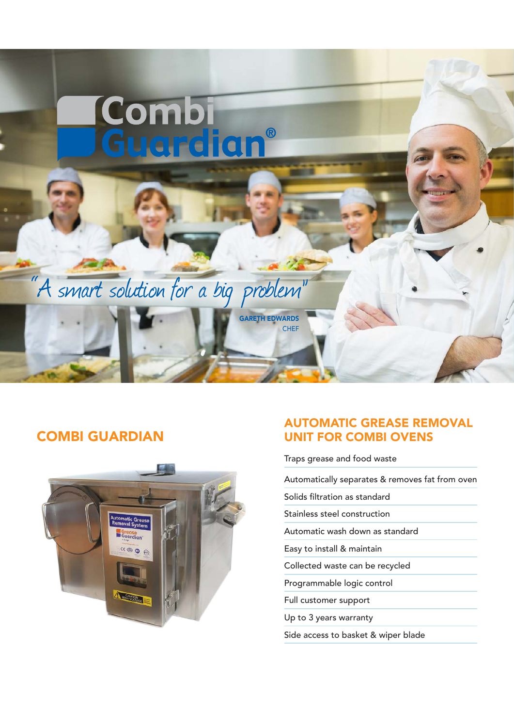

## COMBI GUARDIAN



### AUTOMATIC GREASE REMOVAL UNIT FOR COMBI OVENS

Traps grease and food waste

Automatically separates & removes fat from oven

Solids filtration as standard

Stainless steel construction

Automatic wash down as standard

Easy to install & maintain

Collected waste can be recycled

Programmable logic control

Full customer support

Up to 3 years warranty

Side access to basket & wiper blade